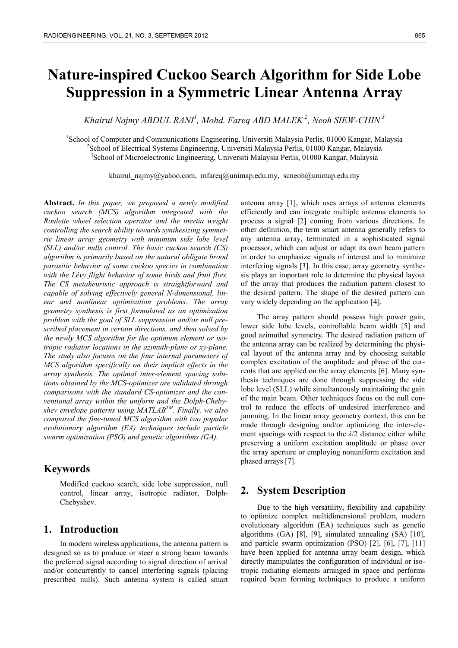# **Nature-inspired Cuckoo Search Algorithm for Side Lobe Suppression in a Symmetric Linear Antenna Array**

*Khairul Najmy ABDUL RANI1 , Mohd. Fareq ABD MALEK 2, Neoh SIEW-CHIN 3*

<sup>1</sup>School of Computer and Communications Engineering, Universiti Malaysia Perlis, 01000 Kangar, Malaysia<br><sup>2</sup>Sebnal of Electrical Systems Engineering, Universiti Malaysia Perlis, 01000 Kangar, Malaysia <sup>2</sup> School of Electrical Systems Engineering, Universiti Malaysia Perlis, 01000 Kangar, Malaysia School of Microelectronic Engineering, Universiti Malaysia Perlis, 01000 Kangar, Malaysia

khairul\_najmy@yahoo.com, mfareq@unimap.edu.my, scneoh@unimap.edu.my

**Abstract.** *In this paper, we proposed a newly modified cuckoo search (MCS) algorithm integrated with the Roulette wheel selection operator and the inertia weight controlling the search ability towards synthesizing symmetric linear array geometry with minimum side lobe level (SLL) and/or nulls control. The basic cuckoo search (CS) algorithm is primarily based on the natural obligate brood parasitic behavior of some cuckoo species in combination with the Lévy flight behavior of some birds and fruit flies. The CS metaheuristic approach is straightforward and capable of solving effectively general N-dimensional, linear and nonlinear optimization problems. The array geometry synthesis is first formulated as an optimization problem with the goal of SLL suppression and/or null prescribed placement in certain directions, and then solved by the newly MCS algorithm for the optimum element or isotropic radiator locations in the azimuth-plane or xy-plane. The study also focuses on the four internal parameters of MCS algorithm specifically on their implicit effects in the array synthesis. The optimal inter-element spacing solutions obtained by the MCS-optimizer are validated through comparisons with the standard CS-optimizer and the conventional array within the uniform and the Dolph-Chebyshev envelope patterns using MATLABTM. Finally, we also compared the fine-tuned MCS algorithm with two popular evolutionary algorithm (EA) techniques include particle swarm optimization (PSO) and genetic algorithms (GA).* 

# **Keywords**

Modified cuckoo search, side lobe suppression, null control, linear array, isotropic radiator, Dolph-Chebyshev.

## **1. Introduction**

In modern wireless applications, the antenna pattern is designed so as to produce or steer a strong beam towards the preferred signal according to signal direction of arrival and/or concurrently to cancel interfering signals (placing prescribed nulls). Such antenna system is called smart

antenna array [1], which uses arrays of antenna elements efficiently and can integrate multiple antenna elements to process a signal [2] coming from various directions. In other definition, the term smart antenna generally refers to any antenna array, terminated in a sophisticated signal processor, which can adjust or adapt its own beam pattern in order to emphasize signals of interest and to minimize interfering signals [3]. In this case, array geometry synthesis plays an important role to determine the physical layout of the array that produces the radiation pattern closest to the desired pattern. The shape of the desired pattern can vary widely depending on the application [4].

The array pattern should possess high power gain, lower side lobe levels, controllable beam width [5] and good azimuthal symmetry. The desired radiation pattern of the antenna array can be realized by determining the physical layout of the antenna array and by choosing suitable complex excitation of the amplitude and phase of the currents that are applied on the array elements [6]. Many synthesis techniques are done through suppressing the side lobe level (SLL) while simultaneously maintaining the gain of the main beam. Other techniques focus on the null control to reduce the effects of undesired interference and jamming. In the linear array geometry context, this can be made through designing and/or optimizing the inter-element spacings with respect to the *λ*/2 distance either while preserving a uniform excitation amplitude or phase over the array aperture or employing nonuniform excitation and phased arrays [7].

# **2. System Description**

Due to the high versatility, flexibility and capability to optimize complex multidimensional problem, modern evolutionary algorithm (EA) techniques such as genetic algorithms (GA) [8], [9], simulated annealing (SA) [10], and particle swarm optimization (PSO) [2], [6], [7], [11] have been applied for antenna array beam design, which directly manipulates the configuration of individual or isotropic radiating elements arranged in space and performs required beam forming techniques to produce a uniform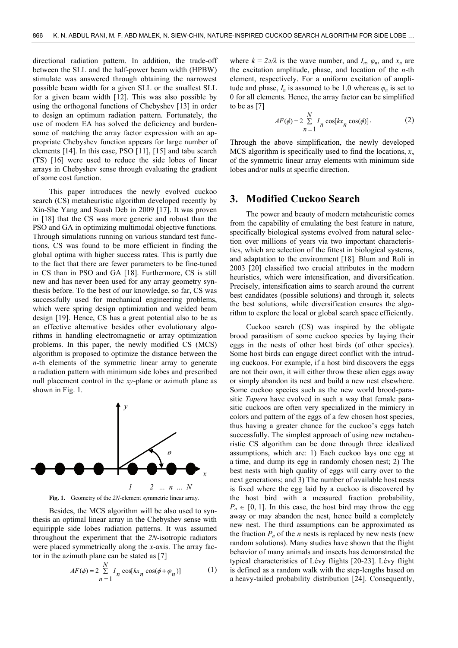directional radiation pattern. In addition, the trade-off between the SLL and the half-power beam width (HPBW) stimulate was answered through obtaining the narrowest possible beam width for a given SLL or the smallest SLL for a given beam width [12]. This was also possible by using the orthogonal functions of Chebyshev [13] in order to design an optimum radiation pattern. Fortunately, the use of modern EA has solved the deficiency and burdensome of matching the array factor expression with an appropriate Chebyshev function appears for large number of elements [14]. In this case, PSO [11], [15] and tabu search (TS) [16] were used to reduce the side lobes of linear arrays in Chebyshev sense through evaluating the gradient of some cost function.

This paper introduces the newly evolved cuckoo search (CS) metaheuristic algorithm developed recently by Xin-She Yang and Suash Deb in 2009 [17]. It was proven in [18] that the CS was more generic and robust than the PSO and GA in optimizing multimodal objective functions. Through simulations running on various standard test functions, CS was found to be more efficient in finding the global optima with higher success rates. This is partly due to the fact that there are fewer parameters to be fine-tuned in CS than in PSO and GA [18]. Furthermore, CS is still new and has never been used for any array geometry synthesis before. To the best of our knowledge, so far, CS was successfully used for mechanical engineering problems, which were spring design optimization and welded beam design [19]. Hence, CS has a great potential also to be as an effective alternative besides other evolutionary algorithms in handling electromagnetic or array optimization problems. In this paper, the newly modified CS (MCS) algorithm is proposed to optimize the distance between the *n*-th elements of the symmetric linear array to generate a radiation pattern with minimum side lobes and prescribed null placement control in the *xy*-plane or azimuth plane as shown in Fig. 1.



**Fig. 1.** Geometry of the *2N*-element symmetric linear array.

Besides, the MCS algorithm will be also used to synthesis an optimal linear array in the Chebyshev sense with equiripple side lobes radiation patterns. It was assumed throughout the experiment that the *2N-*isotropic radiators were placed symmetrically along the *x*-axis. The array factor in the azimuth plane can be stated as [7]

$$
AF(\phi) = 2 \sum_{n=1}^{N} I_n \cos[kx_n \cos(\phi + \varphi_n)]
$$
 (1)

where  $k = 2\pi/\lambda$  is the wave number, and  $I_n$ ,  $\varphi_n$ , and  $x_n$  are the excitation amplitude, phase, and location of the *n*-th element, respectively. For a uniform excitation of amplitude and phase,  $I_n$  is assumed to be 1.0 whereas  $\varphi_n$  is set to 0 for all elements. Hence, the array factor can be simplified to be as [7]

$$
AF(\phi) = 2 \sum_{n=1}^{N} I_n \cos[kx_n \cos(\phi)].
$$
 (2)

Through the above simplification, the newly developed MCS algorithm is specifically used to find the locations,  $x_n$ of the symmetric linear array elements with minimum side lobes and/or nulls at specific direction.

## **3. Modified Cuckoo Search**

The power and beauty of modern metaheuristic comes from the capability of emulating the best feature in nature, specifically biological systems evolved from natural selection over millions of years via two important characteristics, which are selection of the fittest in biological systems, and adaptation to the environment [18]. Blum and Roli in 2003 [20] classified two crucial attributes in the modern heuristics, which were intensification, and diversification. Precisely, intensification aims to search around the current best candidates (possible solutions) and through it, selects the best solutions, while diversification ensures the algorithm to explore the local or global search space efficiently.

Cuckoo search (CS) was inspired by the obligate brood parasitism of some cuckoo species by laying their eggs in the nests of other host birds (of other species). Some host birds can engage direct conflict with the intruding cuckoos. For example, if a host bird discovers the eggs are not their own, it will either throw these alien eggs away or simply abandon its nest and build a new nest elsewhere. Some cuckoo species such as the new world brood-parasitic *Tapera* have evolved in such a way that female parasitic cuckoos are often very specialized in the mimicry in colors and pattern of the eggs of a few chosen host species, thus having a greater chance for the cuckoo's eggs hatch successfully. The simplest approach of using new metaheuristic CS algorithm can be done through three idealized assumptions, which are: 1) Each cuckoo lays one egg at a time, and dump its egg in randomly chosen nest; 2) The best nests with high quality of eggs will carry over to the next generations; and 3) The number of available host nests is fixed where the egg laid by a cuckoo is discovered by the host bird with a measured fraction probability,  $P_a \in [0, 1]$ . In this case, the host bird may throw the egg away or may abandon the nest, hence build a completely new nest. The third assumptions can be approximated as the fraction  $P_a$  of the  $n$  nests is replaced by new nests (new random solutions). Many studies have shown that the flight behavior of many animals and insects has demonstrated the typical characteristics of Lévy flights [20-23]. Lévy flight is defined as a random walk with the step-lengths based on a heavy-tailed probability distribution [24]. Consequently,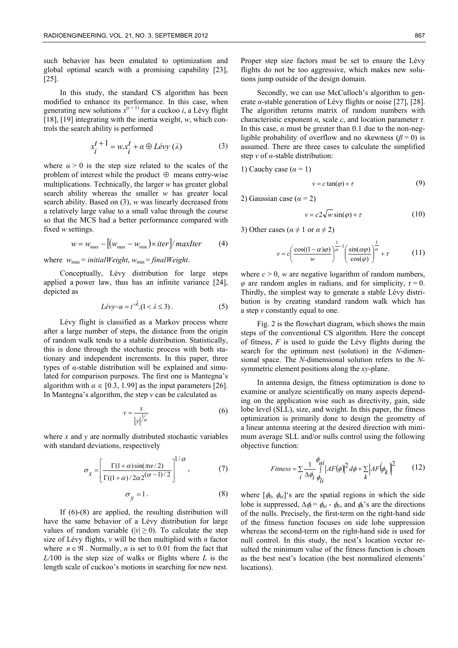such behavior has been emulated to optimization and global optimal search with a promising capability [23], [25].

In this study, the standard CS algorithm has been modified to enhance its performance. In this case, when generating new solutions  $\overline{x}^{(t+1)}$  for a cuckoo *i*, a Lévy flight [18], [19] integrating with the inertia weight, *w*, which controls the search ability is performed

$$
x_i^{t+1} = wx_i^t + \alpha \oplus Lévy \ (\lambda) \tag{3}
$$

where  $\alpha > 0$  is the step size related to the scales of the problem of interest while the product  $\oplus$  means entry-wise multiplications. Technically, the larger *w* has greater global search ability whereas the smaller *w* has greater local search ability. Based on (3), *w* was linearly decreased from a relatively large value to a small value through the course so that the MCS had a better performance compared with fixed *w* settings.

$$
w = w_{\text{max}} - \left[ \left( w_{\text{max}} - w_{\text{min}} \right) \times iter \right] / \text{maxIter} \tag{4}
$$

where  $w_{\text{max}} = initialWeight$ ,  $w_{\text{min}} = finalWeight$ .

Conceptually, Lévy distribution for large steps applied a power law, thus has an infinite variance [24], depicted as

$$
Lévy \sim u = t^{-\lambda}, (1 < \lambda \le 3). \tag{5}
$$

Lévy flight is classified as a Markov process where after a large number of steps, the distance from the origin of random walk tends to a stable distribution. Statistically, this is done through the stochastic process with both stationary and independent increments. In this paper, three types of *α*-stable distribution will be explained and simulated for comparison purposes. The first one is Mantegna's algorithm with  $\alpha \in [0.3, 1.99]$  as the input parameters [26]. In Mantegna's algorithm, the step *v* can be calculated as

$$
v = \frac{x}{|y|^{1/\alpha}}
$$
 (6)

where *x* and *y* are normally distributed stochastic variables with standard deviations, respectively

$$
\sigma_x = \left[ \frac{\Gamma(1+\alpha)\sin(\pi\alpha/2)}{\Gamma((1+\alpha)/2\alpha 2^{(\alpha-1)/2})} \right]^{1/\alpha},\tag{7}
$$

$$
\sigma_y = 1. \tag{8}
$$

If (6)-(8) are applied, the resulting distribution will have the same behavior of a Lévy distribution for large values of random variable ( $|v| \ge 0$ ). To calculate the step size of Lévy flights, *v* will be then multiplied with *n* factor where  $n \in \mathcal{R}$ . Normally, *n* is set to 0.01 from the fact that *L/*100 is the step size of walks or flights where *L* is the length scale of cuckoo's motions in searching for new nest.

Proper step size factors must be set to ensure the Lévy flights do not be too aggressive, which makes new solutions jump outside of the design domain.

Secondly, we can use McCulloch's algorithm to generate *α*-stable generation of Lévy flights or noise [27], [28]. The algorithm returns matrix of random numbers with characteristic exponent *α*, scale *c*, and location parameter *τ*. In this case,  $\alpha$  must be greater than 0.1 due to the non-negligible probability of overflow and no skewness ( $\beta$  = 0) is assumed. There are three cases to calculate the simplified step *v* of *α*-stable distribution:

1) Cauchy case (
$$
\alpha = 1
$$
)

$$
v = c \tan(\varphi) + \tau \tag{9}
$$

2) Gaussian case  $(a = 2)$ 

$$
v = c2\sqrt{w}\sin(\varphi) + \tau\tag{10}
$$

3) Other cases ( $\alpha \neq 1$  or  $\alpha \neq 2$ )

$$
v = c \left( \frac{\cos((1-\alpha)\varphi)}{w} \right)^{\frac{1}{\alpha}-1} \left( \frac{\sin(\alpha\varphi)}{\cos(\varphi)} \right)^{\frac{1}{\alpha}} + \tau \tag{11}
$$

where  $c > 0$ , *w* are negative logarithm of random numbers,  $\varphi$  are random angles in radians, and for simplicity,  $\tau = 0$ . Thirdly, the simplest way to generate a stable Lévy distribution is by creating standard random walk which has a step *v* constantly equal to one.

Fig. 2 is the flowchart diagram, which shows the main steps of the conventional CS algorithm. Here the concept of fitness, *F* is used to guide the Lévy flights during the search for the optimum nest (solution) in the *N*-dimensional space. The *N*-dimensional solution refers to the *N*symmetric element positions along the *xy*-plane.

In antenna design, the fitness optimization is done to examine or analyze scientifically on many aspects depending on the application wise such as directivity, gain, side lobe level (SLL), size, and weight. In this paper, the fitness optimization is primarily done to design the geometry of a linear antenna steering at the desired direction with minimum average SLL and/or nulls control using the following objective function:

$$
Fitness = \sum_{i} \frac{1}{\Delta \phi_i} \oint_{l} \left| AF(\phi) \right|^2 d\phi + \sum_{k} \left| AF(\phi_k) \right|^2 \tag{12}
$$

where  $[\phi_{li}, \phi_{ui}]$ 's are the spatial regions in which the side lobe is suppressed,  $\Delta \phi_i = \phi_{ui} \cdot \phi_i$ , and  $\phi_k$ 's are the directions of the nulls. Precisely, the first-term on the right-hand side of the fitness function focuses on side lobe suppression whereas the second-term on the right-hand side is used for null control. In this study, the nest's location vector resulted the minimum value of the fitness function is chosen as the best nest's location (the best normalized elements' locations).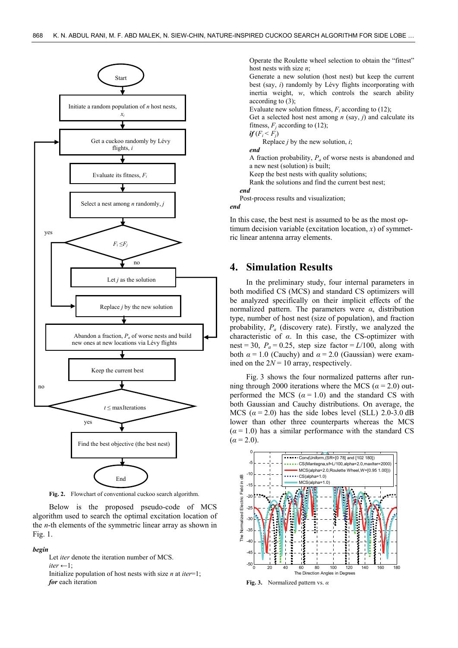

**Fig. 2.** Flowchart of conventional cuckoo search algorithm.

Below is the proposed pseudo-code of MCS algorithm used to search the optimal excitation location of the *n*-th elements of the symmetric linear array as shown in Fig. 1.

#### *begin*

 Let *iter* denote the iteration number of MCS.  $iter \leftarrow 1$ :

 Initialize population of host nests with size *n* at *iter*=1; *for* each iteration

Operate the Roulette wheel selection to obtain the "fittest" host nests with size *n*;

Generate a new solution (host nest) but keep the current best (say, *i*) randomly by Lévy flights incorporating with inertia weight, *w*, which controls the search ability according to (3);

Evaluate new solution fitness,  $F_i$  according to (12);

Get a selected host nest among *n* (say, *j*) and calculate its fitness,  $F_i$  according to (12);

 $if(F_i \leq F_i)$ 

Replace *j* by the new solution, *i*;

*end*

A fraction probability,  $P_a$  of worse nests is abandoned and a new nest (solution) is built;

Keep the best nests with quality solutions;

Rank the solutions and find the current best nest;

*end*  Post-process results and visualization;

*end* 

In this case, the best nest is assumed to be as the most optimum decision variable (excitation location, *x*) of symmetric linear antenna array elements.

# **4. Simulation Results**

In the preliminary study, four internal parameters in both modified CS (MCS) and standard CS optimizers will be analyzed specifically on their implicit effects of the normalized pattern. The parameters were *α*, distribution type, number of host nest (size of population), and fraction probability, *Pa* (discovery rate). Firstly, we analyzed the characteristic of *α*. In this case, the CS-optimizer with nest = 30,  $P_a$  = 0.25, step size factor =  $L/100$ , along with both  $\alpha = 1.0$  (Cauchy) and  $\alpha = 2.0$  (Gaussian) were examined on the  $2N = 10$  array, respectively.

Fig. 3 shows the four normalized patterns after running through 2000 iterations where the MCS ( $\alpha$  = 2.0) outperformed the MCS  $(a = 1.0)$  and the standard CS with both Gaussian and Cauchy distributions. On average, the MCS  $(a = 2.0)$  has the side lobes level (SLL) 2.0-3.0 dB lower than other three counterparts whereas the MCS  $(\alpha = 1.0)$  has a similar performance with the standard CS  $(a = 2.0)$ .



**Fig. 3.** Normalized pattern vs. *α*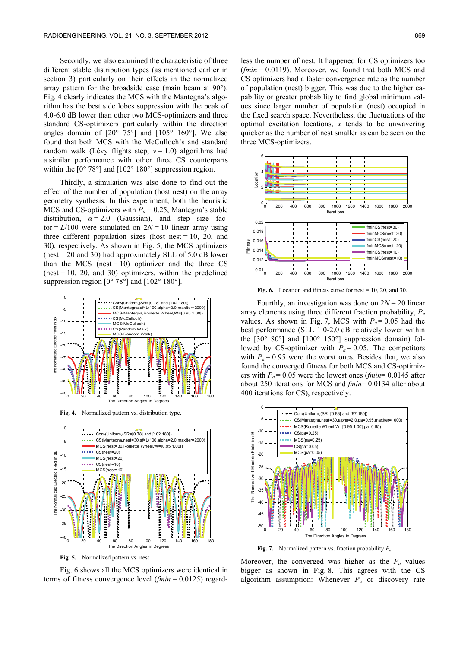Secondly, we also examined the characteristic of three different stable distribution types (as mentioned earlier in section 3) particularly on their effects in the normalized array pattern for the broadside case (main beam at 90°). Fig. 4 clearly indicates the MCS with the Mantegna's algorithm has the best side lobes suppression with the peak of 4.0-6.0 dB lower than other two MCS-optimizers and three standard CS-optimizers particularly within the direction angles domain of  $[20^{\circ} 75^{\circ}]$  and  $[105^{\circ} 160^{\circ}]$ . We also found that both MCS with the McCulloch's and standard random walk (Lévy flights step,  $v = 1.0$ ) algorithms had a similar performance with other three CS counterparts within the  $[0^{\circ} 78^{\circ}]$  and  $[102^{\circ} 180^{\circ}]$  suppression region.

Thirdly, a simulation was also done to find out the effect of the number of population (host nest) on the array geometry synthesis. In this experiment, both the heuristic MCS and CS-optimizers with  $P_a = 0.25$ , Mantegna's stable distribution,  $\alpha = 2.0$  (Gaussian), and step size factor  $= L/100$  were simulated on  $2N = 10$  linear array using three different population sizes (host nest  $= 10$ , 20, and 30), respectively. As shown in Fig. 5, the MCS optimizers (nest = 20 and 30) had approximately SLL of 5.0 dB lower than the MCS (nest = 10) optimizer and the three CS  $(nest = 10, 20, and 30)$  optimizers, within the predefined suppression region  $[0^{\circ} 78^{\circ}]$  and  $[102^{\circ} 180^{\circ}]$ .



**Fig. 4.** Normalized pattern vs. distribution type.



**Fig. 5.** Normalized pattern vs. nest.

Fig. 6 shows all the MCS optimizers were identical in terms of fitness convergence level (*fmin* = 0.0125) regard-

less the number of nest. It happened for CS optimizers too (*fmin* = 0.0119). Moreover, we found that both MCS and CS optimizers had a faster convergence rate as the number of population (nest) bigger. This was due to the higher capability or greater probability to find global minimum values since larger number of population (nest) occupied in the fixed search space. Nevertheless, the fluctuations of the optimal excitation locations, *x* tends to be unwavering quicker as the number of nest smaller as can be seen on the three MCS-optimizers.



Fig. 6. Location and fitness curve for nest = 10, 20, and 30.

Fourthly, an investigation was done on  $2N = 20$  linear array elements using three different fraction probability, *Pa* values. As shown in Fig. 7, MCS with  $P_a = 0.05$  had the best performance (SLL 1.0-2.0 dB relatively lower within the  $[30^{\circ} 80^{\circ}]$  and  $[100^{\circ} 150^{\circ}]$  suppression domain) followed by CS-optimizer with  $P_a = 0.05$ . The competitors with  $P_a = 0.95$  were the worst ones. Besides that, we also found the converged fitness for both MCS and CS-optimizers with  $P_a = 0.05$  were the lowest ones (*fmin*= 0.0145 after about 250 iterations for MCS and *fmin*= 0.0134 after about 400 iterations for CS), respectively.



**Fig. 7.** Normalized pattern vs. fraction probability *Pa.* 

Moreover, the converged was higher as the  $P_a$  values bigger as shown in Fig. 8. This agrees with the CS algorithm assumption: Whenever *Pa* or discovery rate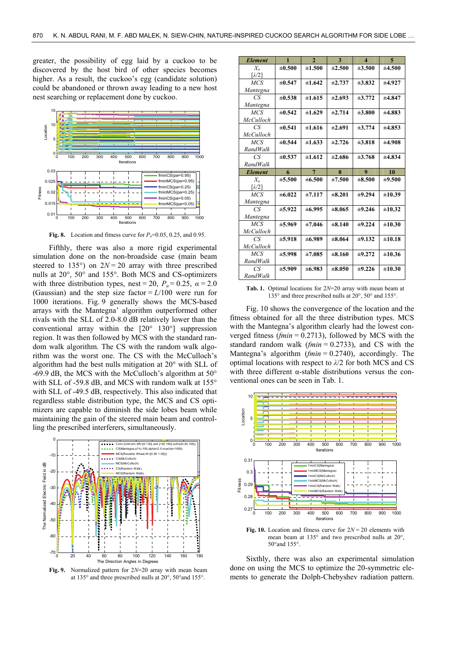greater, the possibility of egg laid by a cuckoo to be discovered by the host bird of other species becomes higher. As a result, the cuckoo's egg (candidate solution) could be abandoned or thrown away leading to a new host nest searching or replacement done by cuckoo.



**Fig. 8.** Location and fitness curve for  $P_a=0.05$ , 0.25, and 0.95.

Fifthly, there was also a more rigid experimental simulation done on the non-broadside case (main beam steered to 135 $^{\circ}$ ) on  $2N = 20$  array with three prescribed nulls at 20°, 50° and 155°. Both MCS and CS-optimizers with three distribution types, nest = 20,  $P_a$  = 0.25,  $\alpha$  = 2.0 (Gaussian) and the step size factor  $= L/100$  were run for 1000 iterations. Fig. 9 generally shows the MCS-based arrays with the Mantegna' algorithm outperformed other rivals with the SLL of 2.0-8.0 dB relatively lower than the conventional array within the [20° 130°] suppression region. It was then followed by MCS with the standard random walk algorithm. The CS with the random walk algorithm was the worst one. The CS with the McCulloch's algorithm had the best nulls mitigation at 20° with SLL of -69.9 dB, the MCS with the McCulloch's algorithm at 50° with SLL of -59.8 dB, and MCS with random walk at 155° with SLL of -49.5 dB, respectively. This also indicated that regardless stable distribution type, the MCS and CS optimizers are capable to diminish the side lobes beam while maintaining the gain of the steered main beam and controlling the prescribed interferers, simultaneously.



**Fig. 9.** Normalized pattern for 2*N*=20 array with mean beam at 135° and three prescribed nulls at 20°, 50°and 155°.

| <b>Element</b>            | $\mathbf{1}$ | $\mathbf{2}$   | 3            | $\boldsymbol{\Delta}$ | 5           |
|---------------------------|--------------|----------------|--------------|-----------------------|-------------|
| $X_{n}$                   | ±0.500       | ±1.500         | ±2.500       | ±3.500                | ±4.500      |
| $\lceil \lambda/2 \rceil$ |              |                |              |                       |             |
| MCS                       | ±0.547       | ±1.642         | $\pm 2.737$  | $\pm 3.832$           | ±4.927      |
| Mantegna                  |              |                |              |                       |             |
| CS.                       | $\pm 0.538$  | ±1.615         | ±2.693       | $\pm 3.772$           | ±4.847      |
| Mantegna                  |              |                |              |                       |             |
| <b>MCS</b>                | $\pm 0.542$  | ±1.629         | ±2.714       | $\pm 3.800$           | $\pm 4.883$ |
| McCulloch                 |              |                |              |                       |             |
| CS.                       | ±0.541       | ±1.616         | $\pm 2.691$  | $\pm 3.774$           | $\pm 4.853$ |
| McCulloch                 |              |                |              |                       |             |
| MCS                       | $\pm 0.544$  | ±1.633         | $\pm 2.726$  | $\pm 3.818$           | ±4.908      |
| RandWalk                  |              |                |              |                       |             |
| CS.                       | $\pm 0.537$  | ±1.612         | $\pm 2.686$  | $\pm 3.768$           | ±4.834      |
| <b>RandWalk</b>           |              |                |              |                       |             |
|                           |              |                |              |                       |             |
| <b>Element</b>            | 6            | $\overline{7}$ | $\mathbf{R}$ | 9                     | 10          |
| $X_n$                     | ±5.500       | $\pm 6.500$    | ±7.500       | $\pm 8.500$           | ±9.500      |
| $\lceil \lambda/2 \rceil$ |              |                |              |                       |             |
| <b>MCS</b>                | ±6.022       | ±7.117         | ±8.201       | ±9.294                | ±10.39      |
| Mantegna                  |              |                |              |                       |             |
| СS                        | ±5.922       | $\pm 6.995$    | $\pm 8.065$  | ±9.246                | ±10.32      |
| Mantegna                  |              |                |              |                       |             |
| <b>MCS</b>                | ±5.969       | ±7.046         | $\pm 8.140$  | ±9.224                | ±10.30      |
| McCulloch                 |              |                |              |                       |             |
| CS.                       | ±5.918       | ±6.989         | $\pm 8.064$  | ±9.132                | ±10.18      |
| McCulloch                 |              |                |              |                       |             |
| <b>MCS</b>                | $\pm 5.998$  | ±7.085         | ±8.160       | ±9.272                | ±10.36      |
| RandWalk                  |              |                |              |                       |             |
| CS.<br>RandWalk           | $\pm 5.909$  | $\pm 6.983$    | $\pm 8.050$  | $\pm 9.226$           | ±10.30      |

**Tab. 1.** Optimal locations for 2*N*=20 array with mean beam at 135° and three prescribed nulls at 20°, 50° and 155°.

Fig. 10 shows the convergence of the location and the fitness obtained for all the three distribution types. MCS with the Mantegna's algorithm clearly had the lowest converged fitness (*fmin* = 0.2713), followed by MCS with the standard random walk (*fmin* = 0.2733), and CS with the Mantegna's algorithm (*fmin* = 0.2740), accordingly. The optimal locations with respect to *λ*/2 for both MCS and CS with three different α-stable distributions versus the conventional ones can be seen in Tab. 1.



**Fig. 10.** Location and fitness curve for  $2N = 20$  elements with mean beam at 135° and two prescribed nulls at 20°, 50°and 155°.

Sixthly, there was also an experimental simulation done on using the MCS to optimize the 20-symmetric elements to generate the Dolph-Chebyshev radiation pattern.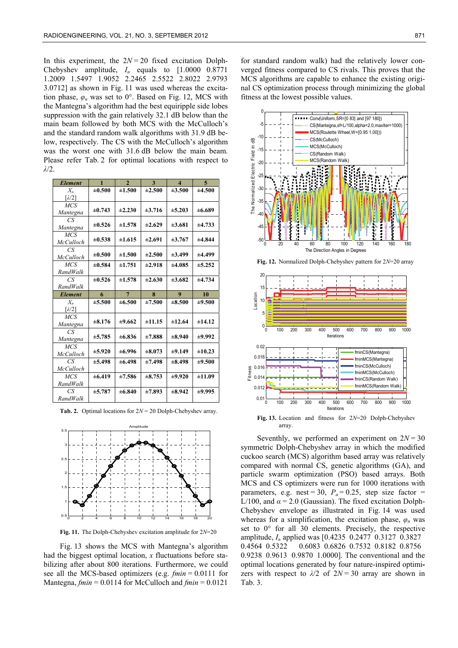In this experiment, the  $2N = 20$  fixed excitation Dolph-Chebyshev amplitude,  $I_n$  equals to  $[1.0000 \t 0.8771]$ 1.2009 1.5497 1.9052 2.2465 2.5522 2.8022 2.9793 3.0712] as shown in Fig. 11 was used whereas the excitation phase,  $\varphi_n$  was set to 0°. Based on Fig. 12, MCS with the Mantegna's algorithm had the best equiripple side lobes suppression with the gain relatively 32.1 dB below than the main beam followed by both MCS with the McCulloch's and the standard random walk algorithms with 31.9 dB below, respectively. The CS with the McCulloch's algorithm was the worst one with 31.6 dB below the main beam. Please refer Tab. 2 for optimal locations with respect to *λ*/2.

| <b>Element</b>            | $\mathbf{1}$ | $\mathbf{2}$   | 3           | $\overline{\mathbf{A}}$ | $\overline{\mathbf{5}}$ |
|---------------------------|--------------|----------------|-------------|-------------------------|-------------------------|
| $X_{\theta}$              | ±0.500       | ±1.500         | ±2.500      | ±3.500                  | ±4.500                  |
| $\lceil \lambda/2 \rceil$ |              |                |             |                         |                         |
| MCS                       | $\pm 0.743$  | ±2.230         | ±3.716      | ±5.203                  | ±6.689                  |
| Mantegna                  |              |                |             |                         |                         |
| CS                        | $\pm 0.526$  | ±1.578         | $\pm 2.629$ | $\pm 3.681$             | ±4.733                  |
| Mantegna                  |              |                |             |                         |                         |
| <b>MCS</b>                | $\pm 0.538$  | ±1.615         | $\pm 2.691$ | $\pm 3.767$             | ±4.844                  |
| <b>McCulloch</b><br>CS    |              |                |             |                         |                         |
| McCulloch                 | $\pm 0.500$  | ±1.500         | $\pm 2.500$ | $\pm 3.499$             | ±4.499                  |
| MCS                       | $\pm 0.584$  | ±1.751         | ±2.918      | ±4.085                  | ±5.252                  |
| <b>RandWalk</b>           |              |                |             |                         |                         |
| CS                        | $\pm 0.526$  | ±1.578         | $\pm 2.630$ | $\pm 3.682$             | ±4.734                  |
| <b>RandWalk</b>           |              |                |             |                         |                         |
|                           |              |                |             |                         |                         |
| <b>Element</b>            | 6            | $\overline{7}$ | $\bf{8}$    | 9                       | 10                      |
| $X_n$                     | ±5.500       | $\pm 6.500$    | ±7.500      | ±8.500                  | ±9.500                  |
| $\lceil \lambda/2 \rceil$ |              |                |             |                         |                         |
| MCS                       |              |                |             |                         |                         |
| Mantegna                  | $\pm 8.176$  | ±9.662         | ±11.15      | ±12.64                  | ±14.12                  |
| CS                        | $\pm 5.785$  | $\pm 6.836$    | $\pm 7.888$ | $\pm 8.940$             | $\pm 9.992$             |
| Mantegna                  |              |                |             |                         |                         |
| MCS<br><b>McCulloch</b>   | $\pm 5.920$  | ±6.996         | $\pm 8.073$ | ±9.149                  | ±10.23                  |
| СS                        | ±5.498       | $\pm 6.498$    | ±7.498      | $\pm 8.498$             | ±9.500                  |
| McCulloch                 |              |                |             |                         |                         |
| MCS                       | ±6.419       | ±7.586         | $\pm 8.753$ | $\pm 9.920$             | ±11.09                  |
| <b>RandWalk</b>           |              |                |             |                         |                         |
| CS<br><b>RandWalk</b>     | $\pm 5.787$  | ±6.840         | ±7.893      | $\pm 8.942$             | ±9.995                  |

**Tab. 2.** Optimal locations for 2*N* = 20 Dolph-Chebyshev array.



**Fig. 11.** The Dolph-Chebyshev excitation amplitude for 2*N*=20

Fig. 13 shows the MCS with Mantegna's algorithm had the biggest optimal location, *x* fluctuations before stabilizing after about 800 iterations. Furthermore, we could see all the MCS-based optimizers (e.g. *fmin* = 0.0111 for Mantegna, *fmin* = 0.0114 for McCulloch and *fmin* = 0.0121

for standard random walk) had the relatively lower converged fitness compared to CS rivals. This proves that the MCS algorithms are capable to enhance the existing original CS optimization process through minimizing the global fitness at the lowest possible values.



**Fig. 12.** Normalized Dolph-Chebyshev pattern for 2*N*=20 array



array.

Seventhly, we performed an experiment on  $2N = 30$ symmetric Dolph-Chebyshev array in which the modified cuckoo search (MCS) algorithm based array was relatively compared with normal CS, genetic algorithms (GA), and particle swarm optimization (PSO) based arrays. Both MCS and CS optimizers were run for 1000 iterations with parameters, e.g. nest = 30,  $P_a$  = 0.25, step size factor = L/100, and  $\alpha$  = 2.0 (Gaussian). The fixed excitation Dolph-Chebyshev envelope as illustrated in Fig. 14 was used whereas for a simplification, the excitation phase,  $\varphi_n$  was set to 0° for all 30 elements. Precisely, the respective amplitude, *In* applied was [0.4235 0.2477 0.3127 0.3827 0.4564 0.5322 0.6083 0.6826 0.7532 0.8182 0.8756 0.9238 0.9613 0.9870 1.0000]. The conventional and the optimal locations generated by four nature-inspired optimizers with respect to  $\lambda/2$  of  $2N = 30$  array are shown in Tab. 3.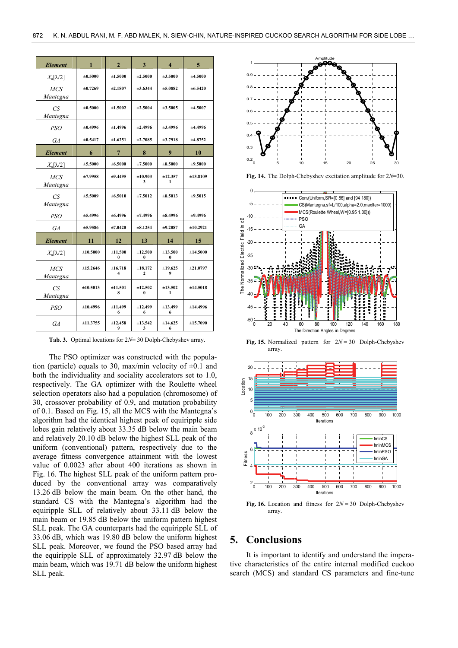| <b>Element</b>         | 1            | $\overline{2}$ | $\mathbf{3}$        | $\overline{\mathbf{4}}$ | $\overline{5}$ |
|------------------------|--------------|----------------|---------------------|-------------------------|----------------|
| $X_n[\lambda/2]$       | ±0.5000      | ±1.5000        | ±2.5000             | ±3.5000                 | ±4.5000        |
| <b>MCS</b><br>Mantegna | $\pm 0.7269$ | ±2.1807        | ±3.6344             | $\pm 5.0882$            | $\pm 6.5420$   |
| CS<br>Mantegna         | $\pm 0.5000$ | ±1.5002        | ±2.5004             | ±3.5005                 | ±4.5007        |
| <i>PSO</i>             | ±0.4996      | ±1.4996        | ±2.4996             | ±3.4996                 | ±4.4996        |
| GA                     | ±0.5417      | ±1.6251        | $\pm 2.7085$        | $\pm 3.7918$            | ±4.8752        |
| <b>Element</b>         | 6            | $\overline{7}$ | 8                   | 9                       | 10             |
| $X_n[\lambda/2]$       | ±5.5000      | ±6.5000        | ±7.5000             | $\pm 8.5000$            | ±9.5000        |
| <b>MCS</b><br>Mantegna | ±7.9958      | ±9.4495        | ±10.903<br>3        | ±12.357<br>1            | ±13.8109       |
| CS<br>Mantegna         | ±5.5009      | $\pm 6.5010$   | ±7.5012             | $\pm 8.5013$            | ±9.5015        |
| <b>PSO</b>             | ±5.4996      | $\pm 6.4996$   | ±7.4996             | $\pm 8.4996$            | ±9.4996        |
| GA                     | ±5.9586      | ±7.0420        | $\pm 8.1254$        | ±9.2087                 | ±10.2921       |
| <b>Element</b>         | 11           | 12             | 13                  | 14                      | 15             |
| $X_n[\lambda/2]$       | ±10.5000     | ±11.500<br>0   | ±12.500<br>0        | ±13.500<br>$\bf{0}$     | ±14.5000       |
| <b>MCS</b><br>Mantegna | ±15.2646     | ±16.718<br>4   | ±18.172<br>2        | ±19.625<br>9            | ±21.0797       |
| CS<br>Mantegna         | ±10.5013     | ±11.501<br>8   | ±12.502<br>$\bf{0}$ | ±13.502<br>1            | ±14.5018       |
| <b>PSO</b>             | ±10.4996     | ±11.499<br>6   | ±12.499<br>6        | ±13.499<br>6            | ±14.4996       |
| GA                     | ±11.3755     | ±12.458<br>9   | ±13.542<br>3        | ±14.625<br>6            | ±15.7090       |

**Tab. 3.** Optimal locations for 2*N*= 30 Dolph-Chebyshev array.

The PSO optimizer was constructed with the population (particle) equals to 30, max/min velocity of  $\pm 0.1$  and both the individuality and sociality accelerators set to 1.0, respectively. The GA optimizer with the Roulette wheel selection operators also had a population (chromosome) of 30, crossover probability of 0.9, and mutation probability of 0.1. Based on Fig. 15, all the MCS with the Mantegna's algorithm had the identical highest peak of equiripple side lobes gain relatively about 33.35 dB below the main beam and relatively 20.10 dB below the highest SLL peak of the uniform (conventional) pattern, respectively due to the average fitness convergence attainment with the lowest value of 0.0023 after about 400 iterations as shown in Fig. 16. The highest SLL peak of the uniform pattern produced by the conventional array was comparatively 13.26 dB below the main beam. On the other hand, the standard CS with the Mantegna's algorithm had the equiripple SLL of relatively about 33.11 dB below the main beam or 19.85 dB below the uniform pattern highest SLL peak. The GA counterparts had the equiripple SLL of 33.06 dB, which was 19.80 dB below the uniform highest SLL peak. Moreover, we found the PSO based array had the equiripple SLL of approximately 32.97 dB below the main beam, which was 19.71 dB below the uniform highest SLL peak.

![](_page_7_Figure_4.jpeg)

**Fig. 14.** The Dolph-Chebyshev excitation amplitude for 2*N*=30.

![](_page_7_Figure_6.jpeg)

**Fig. 15.** Normalized pattern for 2*N* = 30 Dolph-Chebyshev array.

![](_page_7_Figure_8.jpeg)

**Fig. 16.** Location and fitness for  $2N = 30$  Dolph-Chebyshev array.

## **5. Conclusions**

It is important to identify and understand the imperative characteristics of the entire internal modified cuckoo search (MCS) and standard CS parameters and fine-tune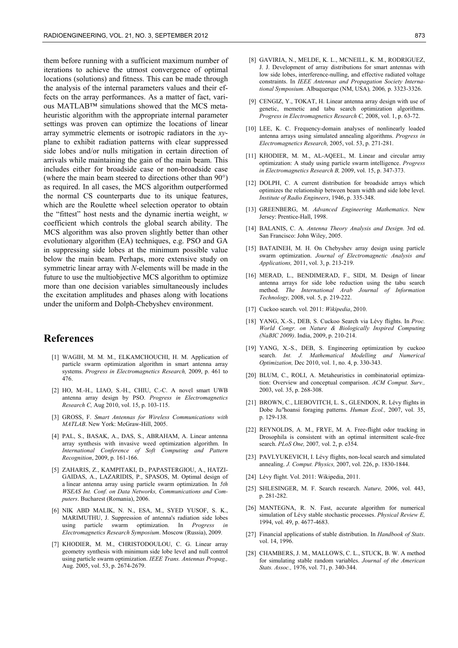them before running with a sufficient maximum number of iterations to achieve the utmost convergence of optimal locations (solutions) and fitness. This can be made through the analysis of the internal parameters values and their effects on the array performances. As a matter of fact, various MATLAB™ simulations showed that the MCS metaheuristic algorithm with the appropriate internal parameter settings was proven can optimize the locations of linear array symmetric elements or isotropic radiators in the *xy*plane to exhibit radiation patterns with clear suppressed side lobes and/or nulls mitigation in certain direction of arrivals while maintaining the gain of the main beam. This includes either for broadside case or non-broadside case (where the main beam steered to directions other than 90°) as required. In all cases, the MCS algorithm outperformed the normal CS counterparts due to its unique features, which are the Roulette wheel selection operator to obtain the "fittest" host nests and the dynamic inertia weight, *w* coefficient which controls the global search ability. The MCS algorithm was also proven slightly better than other evolutionary algorithm (EA) techniques, e.g. PSO and GA in suppressing side lobes at the minimum possible value below the main beam. Perhaps, more extensive study on symmetric linear array with *N*-elements will be made in the future to use the multiobjective MCS algorithm to optimize more than one decision variables simultaneously includes the excitation amplitudes and phases along with locations under the uniform and Dolph-Chebyshev environment.

# **References**

- [1] WAGIH, M. M. M., ELKAMCHOUCHI, H. M. Application of particle swarm optimization algorithm in smart antenna array systems. *Progress in Electromagnetics Research,* 2009, p. 461 to 476.
- [2] HO, M.-H., LIAO, S.-H., CHIU, C.-C. A novel smart UWB antenna array design by PSO. *Progress in Electromagnetics Research C,* Aug 2010, vol. 15, p. 103-115.
- [3] GROSS, F. *Smart Antennas for Wireless Communications with MATLAB*. New York: McGraw-Hill, 2005.
- [4] PAL, S., BASAK, A., DAS, S., ABRAHAM, A. Linear antenna array synthesis with invasive weed optimization algorithm. In *International Conference of Soft Computing and Pattern Recognition*, 2009, p. 161-166.
- [5] ZAHARIS, Z., KAMPITAKI, D., PAPASTERGIOU, A., HATZI-GAIDAS, A., LAZARIDIS, P., SPASOS, M. Optimal design of a linear antenna array using particle swarm optimization. In *5th WSEAS Int. Conf. on Data Networks, Communications and Computers*. Bucharest (Romania), 2006.
- [6] NIK ABD MALIK, N. N., ESA, M., SYED YUSOF, S. K., MARIMUTHU, J. Suppression of antenna's radiation side lobes using particle swarm optimization. In *Progress in Electromagnetics Research Symposium*. Moscow (Russia), 2009.
- [7] KHODIER, M. M., CHRISTODOULOU, C. G. Linear array geometry synthesis with minimum side lobe level and null control using particle swarm optimization. *IEEE Trans. Antennas Propag.,*  Aug. 2005, vol. 53, p. 2674-2679.
- [8] GAVIRIA, N., MELDE, K. L., MCNEILL, K. M., RODRIGUEZ, J. J. Development of array distributions for smart antennas with low side lobes, interference-nulling, and effective radiated voltage constraints. In *IEEE Antennas and Propagation Society International Symposium.* Albuquerque (NM, USA)*,* 2006*,* p. 3323-3326.
- [9] CENGIZ, Y., TOKAT, H. Linear antenna array design with use of genetic, memetic and tabu search optimization algorithms. *Progress in Electromagnetics Research C,* 2008, vol. 1, p. 63-72.
- [10] LEE, K. C. Frequency-domain analyses of nonlinearly loaded antenna arrays using simulated annealing algorithms. *Progress in Electromagnetics Research,* 2005, vol. 53, p. 271-281.
- [11] KHODIER, M. M., AL-AQEEL, M. Linear and circular array optimization: A study using particle swarm intelligence. *Progress in Electromagnetics Research B,* 2009, vol. 15, p. 347-373.
- [12] DOLPH, C. A current distribution for broadside arrays which optimizes the relationship between beam width and side lobe level. *Institute of Radio Engineers*, 1946, p. 335-348.
- [13] GREENBERG, M. *Advanced Engineering Mathematics*. New Jersey: Prentice-Hall, 1998.
- [14] BALANIS, C. A. *Antenna Theory Analysis and Design*. 3rd ed. San Francisco: John Wiley, 2005.
- [15] BATAINEH, M. H. On Chebyshev array design using particle swarm optimization. *Journal of Electromagnetic Analysis and Applications,* 2011, vol. 3, p. 213-219.
- [16] MERAD, L., BENDIMERAD, F., SIDI, M. Design of linear antenna arrays for side lobe reduction using the tabu search method. *The International Arab Journal of Information Technology,* 2008, vol. 5, p. 219-222.
- [17] Cuckoo search. vol. 2011: *Wikipedia*, 2010.
- [18] YANG, X.-S., DEB, S. Cuckoo Search via Lévy flights. In *Proc. World Congr. on Nature & Biologically Inspired Computing (NaBIC 2009)*. India, 2009, p. 210-214.
- [19] YANG, X.-S., DEB, S. Engineering optimization by cuckoo search. *Int. J. Mathematical Modelling and Numerical Optimization,* Dec 2010, vol. 1, no. 4, p. 330-343.
- [20] BLUM, C., ROLI, A. Metaheuristics in combinatorial optimization: Overview and conceptual comparison. *ACM Comput. Surv.,*  2003, vol. 35, p. 268-308.
- [21] BROWN, C., LIEBOVITCH, L. S., GLENDON, R. Lévy flights in Dobe Ju/'hoansi foraging patterns. *Human Ecol.,* 2007, vol. 35, p. 129-138.
- [22] REYNOLDS, A. M., FRYE, M. A. Free-flight odor tracking in Drosophila is consistent with an optimal intermittent scale-free search. *PLoS One,* 2007*,* vol. 2, p. e354.
- [23] PAVLYUKEVICH, I. Lévy flights, non-local search and simulated annealing. *J. Comput. Physics,* 2007, vol. 226, p. 1830-1844.
- [24] Lévy flight. Vol. 2011: Wikipedia, 2011.
- [25] SHLESINGER, M. F. Search research. *Nature,* 2006, vol. 443, p. 281-282.
- [26] MANTEGNA, R. N. Fast, accurate algorithm for numerical simulation of Lévy stable stochastic processes. *Physical Review E,*  1994, vol. 49, p. 4677-4683.
- [27] Financial applications of stable distribution. In *Handbook of Stats*. vol. 14, 1996.
- [28] CHAMBERS, J. M., MALLOWS, C. L., STUCK, B. W. A method for simulating stable random variables. *Journal of the American Stats. Assoc.,* 1976, vol. 71, p. 340-344.